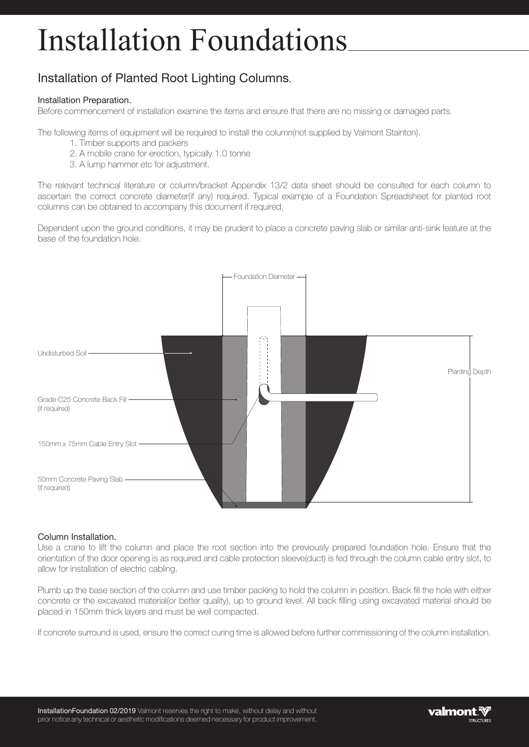# Installation Foundations

## Installation of Planted Root Lighting Columns.

#### Installation Preparation.

Before commencement of installation examine the items and ensure that there are no missing or damaged parts.

The following items of equipment will be required to install the column(not supplied by Valmont Stainton).

- 1. Timber supports and packers
- 2. A mobile crane for erection, typically 1.0 tonne
- 3. A lump hammer etc for adjustment.

The relevant technical literature or column/bracket Appendix 13/2 data sheet should be consulted for each column to ascertain the correct concrete diameter(if any) required. Typical example of a Foundation Spreadsheet for planted root columns can be obtained to accompany this document if required.

Dependent upon the ground conditions, it may be prudent to place a concrete paving slab or similar anti-sink feature at the base of the foundation hole.



### Column Installation.

Use a crane to lift the column and place the root section into the previously prepared foundation hole. Ensure that the orientation of the door opening is as required and cable protection sleeve(duct) is fed through the column cable entry slot, to allow for installation of electric cabling.

Plumb up the base section of the column and use timber packing to hold the column in position. Back fill the hole with either concrete or the excavated material(or better quality), up to ground level. All back filling using excavated material should be placed in 150mm thick layers and must be well compacted.

If concrete surround is used, ensure the correct curing time is allowed before further commissioning of the column installation.